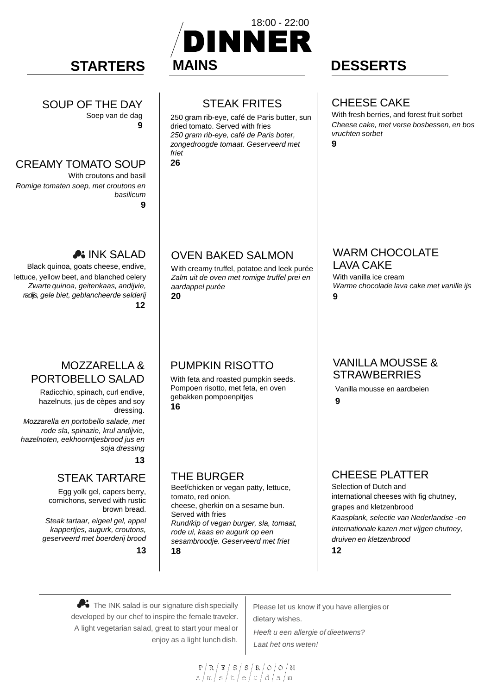#### SOUP OF THE DAY Soep van de dag

**9**

#### CREAMY TOMATO SOUP

With croutons and basil *Romige tomaten soep, met croutons en basilicum* **9**

# A: INK SALAD

Black quinoa, goats cheese, endive, lettuce, yellow beet, and blanched celery *Zwarte quinoa, geitenkaas, andijvie, radijs, gele biet, geblancheerde selderij* **12**

# MOZZARELLA & PORTOBELLO SALAD

Radicchio, spinach, curl endive, hazelnuts, jus de cèpes and soy dressing.

*Mozzarella en portobello salade, met rode sla, spinazie, krul andijvie, hazelnoten, eekhoorntjesbrood jus en soja dressing*

**13**

### STEAK TARTARE

Egg yolk gel, capers berry, cornichons, served with rustic brown bread.

*Steak tartaar, eigeel gel, appel kappertjes, augurk, croutons, geserveerd met boerderij brood* 

**13**



# STEAK FRITES

250 gram rib-eye, café de Paris butter, sun dried tomato. Served with fries *250 gram rib-eye, café de Paris boter, zongedroogde tomaat. Geserveerd met friet* **26**

# OVEN BAKED SALMON

With creamy truffel, potatoe and leek purée *Zalm uit de oven met romige truffel prei en aardappel purée* **20**

# PUMPKIN RISOTTO

With feta and roasted pumpkin seeds. Pompoen risotto, met feta, en oven gebakken pompoenpitjes **16**

THE BURGER

Beef/chicken or vegan patty, lettuce, tomato, red onion, cheese, gherkin on a sesame bun. Served with fries *Rund/kip of vegan burger, sla, tomaat, rode ui, kaas en augurk op een sesambroodje. Geserveerd met friet* **18**

# CHEESE CAKE

With fresh berries, and forest fruit sorbet *Cheese cake, met verse bosbessen, en bos vruchten sorbet*

**9**

#### WARM CHOCOLATE LAVA CAKE

With vanilla ice cream *Warme chocolade lava cake met vanille ijs* **9**

### VANILLA MOUSSE & **STRAWBERRIES**

Vanilla mousse en aardbeien

**9**

# CHEESE PLATTER

Selection of Dutch and international cheeses with fig chutney, grapes and kletzenbrood *Kaasplank, selectie van Nederlandse -en internationale kazen met vijgen chutney, druiven en kletzenbrood* **12**

The INK salad is our signature dish specially developed by our chef to inspire the female traveler. A light vegetarian salad, great to start your meal or enjoy as a light lunch dish.

Please let us know if you have allergies or dietary wishes. *Heeft u een allergie of dieetwens? Laat het ons weten!* 

 $\frac{\mathbb{P}\left(\left.\mathbb{R}\right/\left.\mathbb{E}\right/\left.\mathbb{S}\right/\left.\mathbb{R}\right/\left.\mathbb{R}\right/\left.\mathbb{O}\right/\left.\mathbb{O}\right/\left.\mathbb{M}}{\left.\mathbb{a}\right/\left.\mathbb{m}\right/\left.\mathbb{e}\right/\left.\mathbb{t}\right/\left.\mathbb{e}\right/\left.\mathbb{r}\right/\left.\mathbb{d}\right/\left.\mathbb{A}\right/\left.\mathbb{m}\right.}$